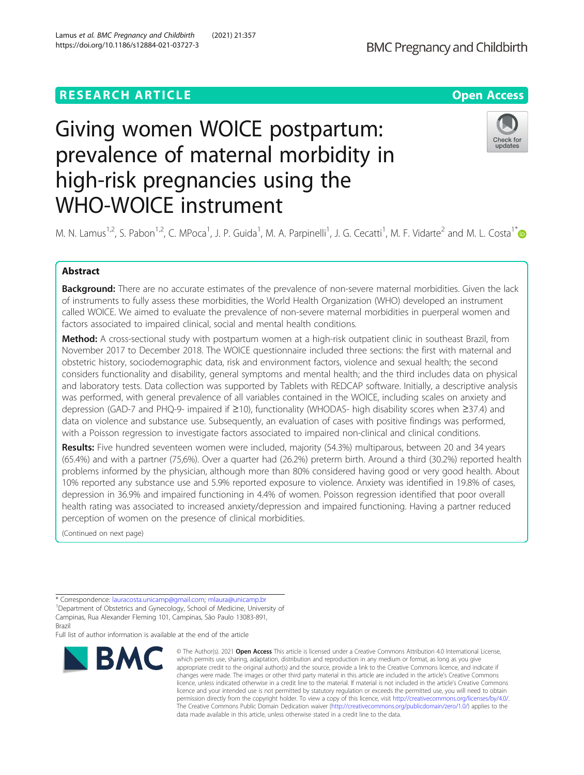# Giving women WOICE postpartum: prevalence of maternal morbidity in high-risk pregnancies using the WHO-WOICE instrument

M. N. Lamus<sup>1,2</sup>, S. Pabon<sup>1,2</sup>, C. MPoca<sup>1</sup>, J. P. Guida<sup>1</sup>, M. A. Parpinelli<sup>1</sup>, J. G. Cecatti<sup>1</sup>, M. F. Vidarte<sup>2</sup> and M. L. Costa<sup>1[\\*](http://orcid.org/0000-0001-8280-3234)</sup>

## Abstract

**Background:** There are no accurate estimates of the prevalence of non-severe maternal morbidities. Given the lack of instruments to fully assess these morbidities, the World Health Organization (WHO) developed an instrument called WOICE. We aimed to evaluate the prevalence of non-severe maternal morbidities in puerperal women and factors associated to impaired clinical, social and mental health conditions.

Method: A cross-sectional study with postpartum women at a high-risk outpatient clinic in southeast Brazil, from November 2017 to December 2018. The WOICE questionnaire included three sections: the first with maternal and obstetric history, sociodemographic data, risk and environment factors, violence and sexual health; the second considers functionality and disability, general symptoms and mental health; and the third includes data on physical and laboratory tests. Data collection was supported by Tablets with REDCAP software. Initially, a descriptive analysis was performed, with general prevalence of all variables contained in the WOICE, including scales on anxiety and depression (GAD-7 and PHQ-9- impaired if ≥10), functionality (WHODAS- high disability scores when ≥37.4) and data on violence and substance use. Subsequently, an evaluation of cases with positive findings was performed, with a Poisson regression to investigate factors associated to impaired non-clinical and clinical conditions.

Results: Five hundred seventeen women were included, majority (54.3%) multiparous, between 20 and 34 years (65.4%) and with a partner (75,6%). Over a quarter had (26.2%) preterm birth. Around a third (30.2%) reported health problems informed by the physician, although more than 80% considered having good or very good health. About 10% reported any substance use and 5.9% reported exposure to violence. Anxiety was identified in 19.8% of cases, depression in 36.9% and impaired functioning in 4.4% of women. Poisson regression identified that poor overall health rating was associated to increased anxiety/depression and impaired functioning. Having a partner reduced perception of women on the presence of clinical morbidities.

(Continued on next page)

Full list of author information is available at the end of the article

#### © The Author(s), 2021 **Open Access** This article is licensed under a Creative Commons Attribution 4.0 International License, **BMC** which permits use, sharing, adaptation, distribution and reproduction in any medium or format, as long as you give appropriate credit to the original author(s) and the source, provide a link to the Creative Commons licence, and indicate if changes were made. The images or other third party material in this article are included in the article's Creative Commons licence, unless indicated otherwise in a credit line to the material. If material is not included in the article's Creative Commons licence and your intended use is not permitted by statutory regulation or exceeds the permitted use, you will need to obtain permission directly from the copyright holder. To view a copy of this licence, visit [http://creativecommons.org/licenses/by/4.0/.](http://creativecommons.org/licenses/by/4.0/) The Creative Commons Public Domain Dedication waiver [\(http://creativecommons.org/publicdomain/zero/1.0/](http://creativecommons.org/publicdomain/zero/1.0/)) applies to the data made available in this article, unless otherwise stated in a credit line to the data.

**RESEARCH ARTICLE Example 2014 12:30 The Contract of Contract ACCESS** 



<sup>\*</sup> Correspondence: [lauracosta.unicamp@gmail.com;](mailto:lauracosta.unicamp@gmail.com) [mlaura@unicamp.br](mailto:mlaura@unicamp.br) <sup>1</sup>

<sup>&</sup>lt;sup>1</sup>Department of Obstetrics and Gynecology, School of Medicine, University of Campinas, Rua Alexander Fleming 101, Campinas, São Paulo 13083-891, Brazil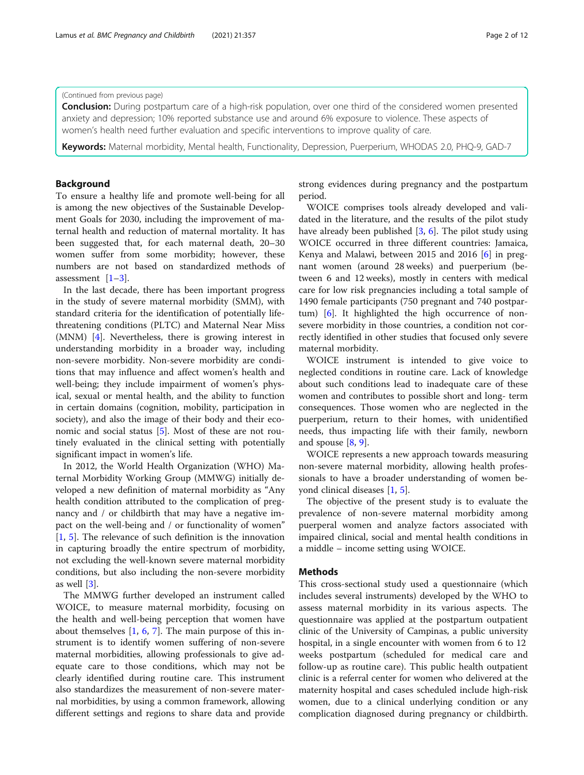## (Continued from previous page)

**Conclusion:** During postpartum care of a high-risk population, over one third of the considered women presented anxiety and depression; 10% reported substance use and around 6% exposure to violence. These aspects of women's health need further evaluation and specific interventions to improve quality of care.

Keywords: Maternal morbidity, Mental health, Functionality, Depression, Puerperium, WHODAS 2.0, PHQ-9, GAD-7

#### Background

To ensure a healthy life and promote well-being for all is among the new objectives of the Sustainable Development Goals for 2030, including the improvement of maternal health and reduction of maternal mortality. It has been suggested that, for each maternal death, 20–30 women suffer from some morbidity; however, these numbers are not based on standardized methods of assessment  $[1-3]$  $[1-3]$  $[1-3]$  $[1-3]$ .

In the last decade, there has been important progress in the study of severe maternal morbidity (SMM), with standard criteria for the identification of potentially lifethreatening conditions (PLTC) and Maternal Near Miss (MNM) [[4\]](#page-10-0). Nevertheless, there is growing interest in understanding morbidity in a broader way, including non-severe morbidity. Non-severe morbidity are conditions that may influence and affect women's health and well-being; they include impairment of women's physical, sexual or mental health, and the ability to function in certain domains (cognition, mobility, participation in society), and also the image of their body and their economic and social status [[5\]](#page-10-0). Most of these are not routinely evaluated in the clinical setting with potentially significant impact in women's life.

In 2012, the World Health Organization (WHO) Maternal Morbidity Working Group (MMWG) initially developed a new definition of maternal morbidity as "Any health condition attributed to the complication of pregnancy and / or childbirth that may have a negative impact on the well-being and / or functionality of women" [[1,](#page-10-0) [5](#page-10-0)]. The relevance of such definition is the innovation in capturing broadly the entire spectrum of morbidity, not excluding the well-known severe maternal morbidity conditions, but also including the non-severe morbidity as well [\[3](#page-10-0)].

The MMWG further developed an instrument called WOICE, to measure maternal morbidity, focusing on the health and well-being perception that women have about themselves  $[1, 6, 7]$  $[1, 6, 7]$  $[1, 6, 7]$  $[1, 6, 7]$  $[1, 6, 7]$  $[1, 6, 7]$ . The main purpose of this instrument is to identify women suffering of non-severe maternal morbidities, allowing professionals to give adequate care to those conditions, which may not be clearly identified during routine care. This instrument also standardizes the measurement of non-severe maternal morbidities, by using a common framework, allowing different settings and regions to share data and provide strong evidences during pregnancy and the postpartum period.

WOICE comprises tools already developed and validated in the literature, and the results of the pilot study have already been published [[3,](#page-10-0) [6](#page-10-0)]. The pilot study using WOICE occurred in three different countries: Jamaica, Kenya and Malawi, between 2015 and 2016 [[6\]](#page-10-0) in pregnant women (around 28 weeks) and puerperium (between 6 and 12 weeks), mostly in centers with medical care for low risk pregnancies including a total sample of 1490 female participants (750 pregnant and 740 postpartum) [\[6](#page-10-0)]. It highlighted the high occurrence of nonsevere morbidity in those countries, a condition not correctly identified in other studies that focused only severe maternal morbidity.

WOICE instrument is intended to give voice to neglected conditions in routine care. Lack of knowledge about such conditions lead to inadequate care of these women and contributes to possible short and long- term consequences. Those women who are neglected in the puerperium, return to their homes, with unidentified needs, thus impacting life with their family, newborn and spouse  $[8, 9]$  $[8, 9]$  $[8, 9]$  $[8, 9]$ .

WOICE represents a new approach towards measuring non-severe maternal morbidity, allowing health professionals to have a broader understanding of women beyond clinical diseases [\[1,](#page-10-0) [5\]](#page-10-0).

The objective of the present study is to evaluate the prevalence of non-severe maternal morbidity among puerperal women and analyze factors associated with impaired clinical, social and mental health conditions in a middle – income setting using WOICE.

## Methods

This cross-sectional study used a questionnaire (which includes several instruments) developed by the WHO to assess maternal morbidity in its various aspects. The questionnaire was applied at the postpartum outpatient clinic of the University of Campinas, a public university hospital, in a single encounter with women from 6 to 12 weeks postpartum (scheduled for medical care and follow-up as routine care). This public health outpatient clinic is a referral center for women who delivered at the maternity hospital and cases scheduled include high-risk women, due to a clinical underlying condition or any complication diagnosed during pregnancy or childbirth.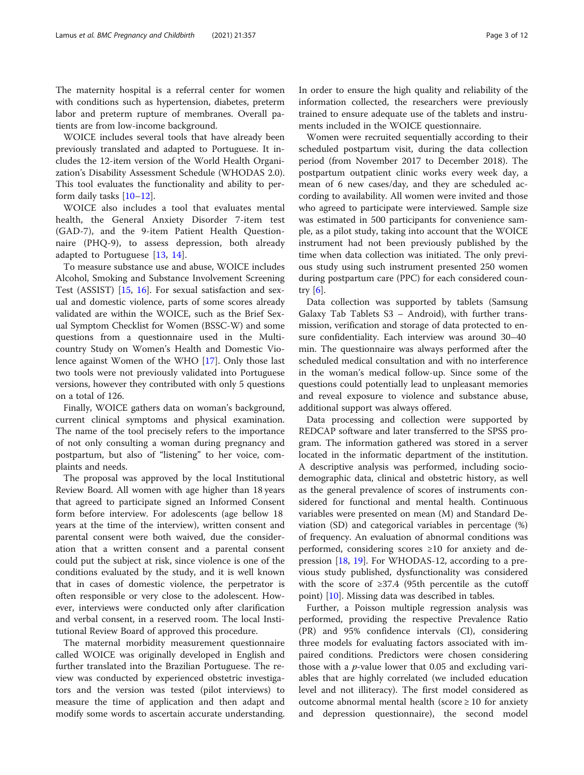The maternity hospital is a referral center for women with conditions such as hypertension, diabetes, preterm labor and preterm rupture of membranes. Overall patients are from low-income background.

WOICE includes several tools that have already been previously translated and adapted to Portuguese. It includes the 12-item version of the World Health Organization's Disability Assessment Schedule (WHODAS 2.0). This tool evaluates the functionality and ability to perform daily tasks [[10](#page-10-0)–[12](#page-10-0)].

WOICE also includes a tool that evaluates mental health, the General Anxiety Disorder 7-item test (GAD-7), and the 9-item Patient Health Questionnaire (PHQ-9), to assess depression, both already adapted to Portuguese [\[13](#page-10-0), [14](#page-10-0)].

To measure substance use and abuse, WOICE includes Alcohol, Smoking and Substance Involvement Screening Test (ASSIST) [[15,](#page-10-0) [16](#page-10-0)]. For sexual satisfaction and sexual and domestic violence, parts of some scores already validated are within the WOICE, such as the Brief Sexual Symptom Checklist for Women (BSSC-W) and some questions from a questionnaire used in the Multicountry Study on Women's Health and Domestic Violence against Women of the WHO [\[17](#page-10-0)]. Only those last two tools were not previously validated into Portuguese versions, however they contributed with only 5 questions on a total of 126.

Finally, WOICE gathers data on woman's background, current clinical symptoms and physical examination. The name of the tool precisely refers to the importance of not only consulting a woman during pregnancy and postpartum, but also of "listening" to her voice, complaints and needs.

The proposal was approved by the local Institutional Review Board. All women with age higher than 18 years that agreed to participate signed an Informed Consent form before interview. For adolescents (age bellow 18 years at the time of the interview), written consent and parental consent were both waived, due the consideration that a written consent and a parental consent could put the subject at risk, since violence is one of the conditions evaluated by the study, and it is well known that in cases of domestic violence, the perpetrator is often responsible or very close to the adolescent. However, interviews were conducted only after clarification and verbal consent, in a reserved room. The local Institutional Review Board of approved this procedure.

The maternal morbidity measurement questionnaire called WOICE was originally developed in English and further translated into the Brazilian Portuguese. The review was conducted by experienced obstetric investigators and the version was tested (pilot interviews) to measure the time of application and then adapt and modify some words to ascertain accurate understanding.

In order to ensure the high quality and reliability of the information collected, the researchers were previously trained to ensure adequate use of the tablets and instruments included in the WOICE questionnaire.

Women were recruited sequentially according to their scheduled postpartum visit, during the data collection period (from November 2017 to December 2018). The postpartum outpatient clinic works every week day, a mean of 6 new cases/day, and they are scheduled according to availability. All women were invited and those who agreed to participate were interviewed. Sample size was estimated in 500 participants for convenience sample, as a pilot study, taking into account that the WOICE instrument had not been previously published by the time when data collection was initiated. The only previous study using such instrument presented 250 women during postpartum care (PPC) for each considered country [\[6](#page-10-0)].

Data collection was supported by tablets (Samsung Galaxy Tab Tablets S3 – Android), with further transmission, verification and storage of data protected to ensure confidentiality. Each interview was around 30–40 min. The questionnaire was always performed after the scheduled medical consultation and with no interference in the woman's medical follow-up. Since some of the questions could potentially lead to unpleasant memories and reveal exposure to violence and substance abuse, additional support was always offered.

Data processing and collection were supported by REDCAP software and later transferred to the SPSS program. The information gathered was stored in a server located in the informatic department of the institution. A descriptive analysis was performed, including sociodemographic data, clinical and obstetric history, as well as the general prevalence of scores of instruments considered for functional and mental health. Continuous variables were presented on mean (M) and Standard Deviation (SD) and categorical variables in percentage (%) of frequency. An evaluation of abnormal conditions was performed, considering scores ≥10 for anxiety and depression [\[18,](#page-10-0) [19](#page-10-0)]. For WHODAS-12, according to a previous study published, dysfunctionality was considered with the score of ≥37.4 (95th percentile as the cutoff point) [\[10](#page-10-0)]. Missing data was described in tables.

Further, a Poisson multiple regression analysis was performed, providing the respective Prevalence Ratio (PR) and 95% confidence intervals (CI), considering three models for evaluating factors associated with impaired conditions. Predictors were chosen considering those with a  $p$ -value lower that 0.05 and excluding variables that are highly correlated (we included education level and not illiteracy). The first model considered as outcome abnormal mental health (score  $\geq 10$  for anxiety and depression questionnaire), the second model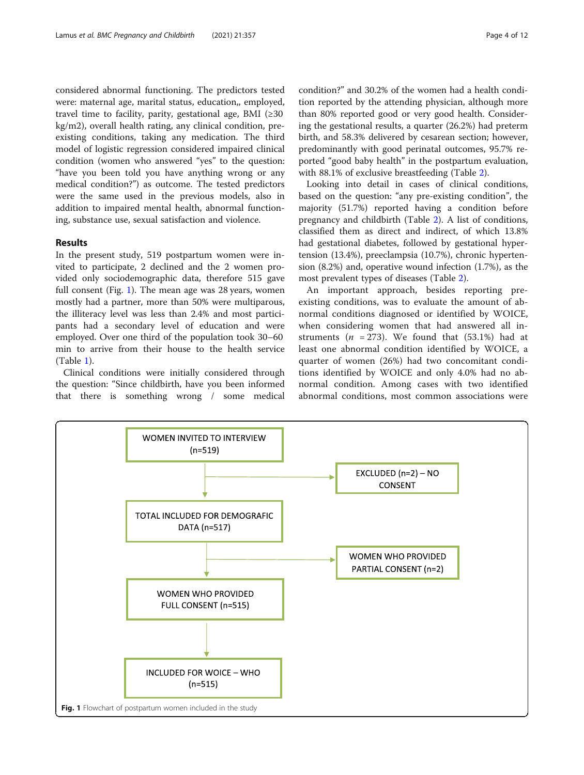considered abnormal functioning. The predictors tested were: maternal age, marital status, education,, employed, travel time to facility, parity, gestational age, BMI  $(\geq 30)$ kg/m2), overall health rating, any clinical condition, preexisting conditions, taking any medication. The third model of logistic regression considered impaired clinical condition (women who answered "yes" to the question: "have you been told you have anything wrong or any medical condition?") as outcome. The tested predictors were the same used in the previous models, also in addition to impaired mental health, abnormal functioning, substance use, sexual satisfaction and violence.

## Results

In the present study, 519 postpartum women were invited to participate, 2 declined and the 2 women provided only sociodemographic data, therefore 515 gave full consent (Fig. 1). The mean age was 28 years, women mostly had a partner, more than 50% were multiparous, the illiteracy level was less than 2.4% and most participants had a secondary level of education and were employed. Over one third of the population took 30–60 min to arrive from their house to the health service (Table [1\)](#page-4-0).

Clinical conditions were initially considered through the question: "Since childbirth, have you been informed that there is something wrong / some medical

condition?" and 30.2% of the women had a health condition reported by the attending physician, although more than 80% reported good or very good health. Considering the gestational results, a quarter (26.2%) had preterm birth, and 58.3% delivered by cesarean section; however, predominantly with good perinatal outcomes, 95.7% reported "good baby health" in the postpartum evaluation, with 88.1% of exclusive breastfeeding (Table [2\)](#page-5-0).

Looking into detail in cases of clinical conditions, based on the question: "any pre-existing condition", the majority (51.7%) reported having a condition before pregnancy and childbirth (Table [2](#page-5-0)). A list of conditions, classified them as direct and indirect, of which 13.8% had gestational diabetes, followed by gestational hypertension (13.4%), preeclampsia (10.7%), chronic hypertension (8.2%) and, operative wound infection (1.7%), as the most prevalent types of diseases (Table [2\)](#page-5-0).

An important approach, besides reporting preexisting conditions, was to evaluate the amount of abnormal conditions diagnosed or identified by WOICE, when considering women that had answered all instruments ( $n = 273$ ). We found that (53.1%) had at least one abnormal condition identified by WOICE, a quarter of women (26%) had two concomitant conditions identified by WOICE and only 4.0% had no abnormal condition. Among cases with two identified abnormal conditions, most common associations were

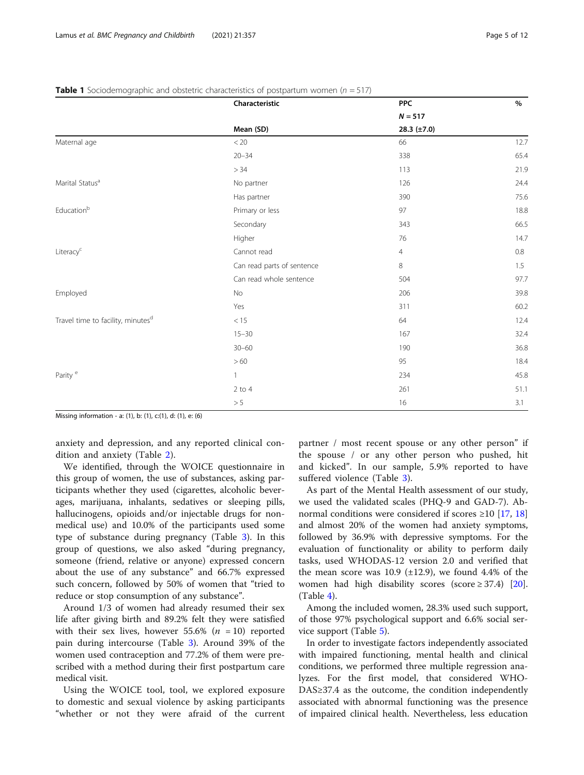|                                               | Characteristic             | <b>PPC</b>       | %    |
|-----------------------------------------------|----------------------------|------------------|------|
|                                               |                            | $N = 517$        |      |
|                                               | Mean (SD)                  | 28.3 $(\pm 7.0)$ |      |
| Maternal age                                  | < 20                       | 66               | 12.7 |
|                                               | $20 - 34$                  | 338              | 65.4 |
|                                               | $>34$                      | 113              | 21.9 |
| Marital Status <sup>a</sup>                   | No partner                 | 126              | 24.4 |
|                                               | Has partner                | 390              | 75.6 |
| $\mathsf{Education}^\mathsf{b}$               | Primary or less            | 97               | 18.8 |
|                                               | Secondary                  | 343              | 66.5 |
|                                               | Higher                     | $76\,$           | 14.7 |
| Literacy <sup>c</sup>                         | Cannot read                | $\overline{4}$   | 0.8  |
|                                               | Can read parts of sentence | 8                | 1.5  |
|                                               | Can read whole sentence    | 504              | 97.7 |
| Employed                                      | No                         | 206              | 39.8 |
|                                               | Yes                        | 311              | 60.2 |
| Travel time to facility, minutes <sup>d</sup> | $<15\,$                    | 64               | 12.4 |
|                                               | $15 - 30$                  | 167              | 32.4 |
|                                               | $30 - 60$                  | 190              | 36.8 |
|                                               | >60                        | 95               | 18.4 |
| Parity <sup>e</sup>                           | $\mathbf{1}$               | 234              | 45.8 |
|                                               | $2$ to $4$                 | 261              | 51.1 |
|                                               | $> 5\,$                    | 16               | 3.1  |

<span id="page-4-0"></span>**Table 1** Sociodemographic and obstetric characteristics of postpartum women ( $n = 517$ )

Missing information - a: (1), b: (1), c:(1), d: (1), e: (6)

anxiety and depression, and any reported clinical condition and anxiety (Table [2\)](#page-5-0).

We identified, through the WOICE questionnaire in this group of women, the use of substances, asking participants whether they used (cigarettes, alcoholic beverages, marijuana, inhalants, sedatives or sleeping pills, hallucinogens, opioids and/or injectable drugs for nonmedical use) and 10.0% of the participants used some type of substance during pregnancy (Table [3\)](#page-7-0). In this group of questions, we also asked "during pregnancy, someone (friend, relative or anyone) expressed concern about the use of any substance" and 66.7% expressed such concern, followed by 50% of women that "tried to reduce or stop consumption of any substance".

Around 1/3 of women had already resumed their sex life after giving birth and 89.2% felt they were satisfied with their sex lives, however 55.6% ( $n = 10$ ) reported pain during intercourse (Table [3](#page-7-0)). Around 39% of the women used contraception and 77.2% of them were prescribed with a method during their first postpartum care medical visit.

Using the WOICE tool, tool, we explored exposure to domestic and sexual violence by asking participants "whether or not they were afraid of the current

partner / most recent spouse or any other person" if the spouse / or any other person who pushed, hit and kicked". In our sample, 5.9% reported to have suffered violence (Table [3\)](#page-7-0).

As part of the Mental Health assessment of our study, we used the validated scales (PHQ-9 and GAD-7). Abnormal conditions were considered if scores  $\geq 10$  [[17](#page-10-0), [18](#page-10-0)] and almost 20% of the women had anxiety symptoms, followed by 36.9% with depressive symptoms. For the evaluation of functionality or ability to perform daily tasks, used WHODAS-12 version 2.0 and verified that the mean score was 10.9  $(\pm 12.9)$ , we found 4.4% of the women had high disability scores (score  $\geq$  37.4) [\[20](#page-10-0)].  $(Table 4)$  $(Table 4)$ .

Among the included women, 28.3% used such support, of those 97% psychological support and 6.6% social service support (Table [5\)](#page-8-0).

In order to investigate factors independently associated with impaired functioning, mental health and clinical conditions, we performed three multiple regression analyzes. For the first model, that considered WHO-DAS≥37.4 as the outcome, the condition independently associated with abnormal functioning was the presence of impaired clinical health. Nevertheless, less education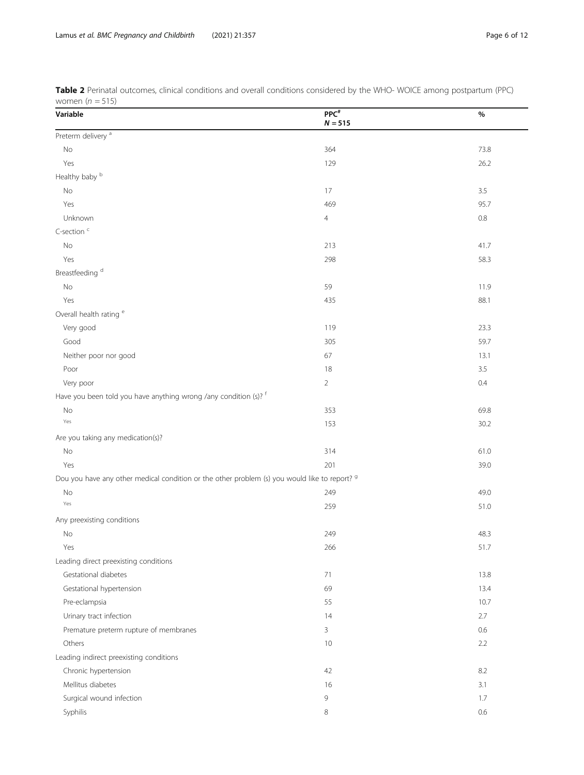| $VVUIII$ CII $U-IU$                                                                                      |                      |         |
|----------------------------------------------------------------------------------------------------------|----------------------|---------|
| Variable                                                                                                 | $PPC^*$<br>$N = 515$ | %       |
| Preterm delivery <sup>a</sup>                                                                            |                      |         |
| No                                                                                                       | 364                  | 73.8    |
| Yes                                                                                                      | 129                  | 26.2    |
| Healthy baby b                                                                                           |                      |         |
| No                                                                                                       | 17                   | 3.5     |
| Yes                                                                                                      | 469                  | 95.7    |
| Unknown                                                                                                  | $\overline{4}$       | $0.8\,$ |
| C-section <sup>c</sup>                                                                                   |                      |         |
| $\rm No$                                                                                                 | 213                  | 41.7    |
| Yes                                                                                                      | 298                  | 58.3    |
| Breastfeeding <sup>d</sup>                                                                               |                      |         |
| $\rm No$                                                                                                 | 59                   | 11.9    |
| Yes                                                                                                      | 435                  | 88.1    |
| Overall health rating <sup>e</sup>                                                                       |                      |         |
| Very good                                                                                                | 119                  | 23.3    |
| Good                                                                                                     | 305                  | 59.7    |
| Neither poor nor good                                                                                    | 67                   | 13.1    |
| Poor                                                                                                     | 18                   | 3.5     |
| Very poor                                                                                                | $\overline{2}$       | 0.4     |
| Have you been told you have anything wrong /any condition (s)? f                                         |                      |         |
| $\rm No$                                                                                                 | 353                  | 69.8    |
| Yes                                                                                                      | 153                  | 30.2    |
| Are you taking any medication(s)?                                                                        |                      |         |
| No                                                                                                       | 314                  | 61.0    |
| Yes                                                                                                      | 201                  | 39.0    |
| Dou you have any other medical condition or the other problem (s) you would like to report? <sup>9</sup> |                      |         |
| No                                                                                                       | 249                  | 49.0    |
| Yes                                                                                                      | 259                  | 51.0    |
| Any preexisting conditions                                                                               |                      |         |
| No                                                                                                       | 249                  | 48.3    |
| Yes                                                                                                      | 266                  | 51.7    |
| Leading direct preexisting conditions                                                                    |                      |         |
| Gestational diabetes                                                                                     | 71                   | 13.8    |
| Gestational hypertension                                                                                 | 69                   | 13.4    |
| Pre-eclampsia                                                                                            | 55                   | 10.7    |
| Urinary tract infection                                                                                  | 14                   | 2.7     |
| Premature preterm rupture of membranes                                                                   | $\mathbf{3}$         | 0.6     |
| Others                                                                                                   | 10                   | 2.2     |
| Leading indirect preexisting conditions                                                                  |                      |         |
| Chronic hypertension                                                                                     | 42                   | 8.2     |
| Mellitus diabetes                                                                                        | 16                   | 3.1     |
| Surgical wound infection                                                                                 | $\overline{9}$       | 1.7     |
| Syphilis                                                                                                 | 8                    | 0.6     |
|                                                                                                          |                      |         |

<span id="page-5-0"></span>Table 2 Perinatal outcomes, clinical conditions and overall conditions considered by the WHO- WOICE among postpartum (PPC) women  $(n = 515)$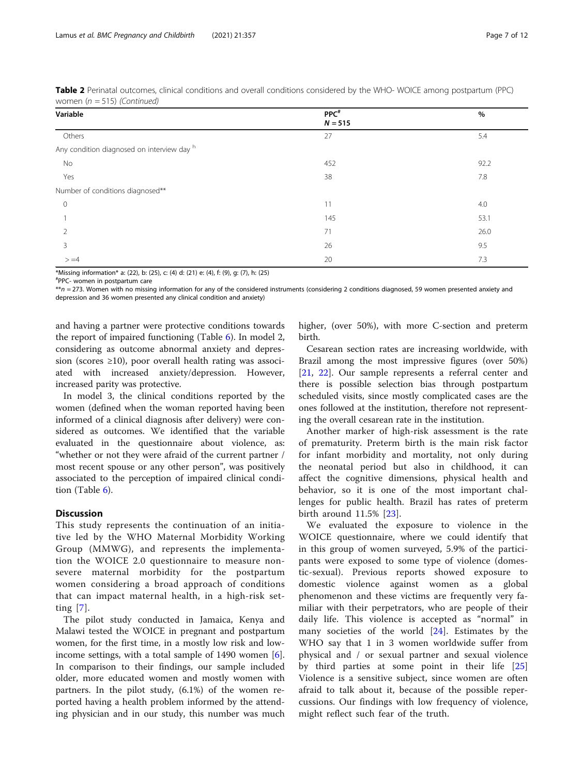| $\frac{1}{2}$                              |                               |      |
|--------------------------------------------|-------------------------------|------|
| Variable                                   | PPC <sup>#</sup><br>$N = 515$ | $\%$ |
| Others                                     | 27                            | 5.4  |
| Any condition diagnosed on interview day h |                               |      |
| No                                         | 452                           | 92.2 |
| Yes                                        | 38                            | 7.8  |
| Number of conditions diagnosed**           |                               |      |
| $\mathbf 0$                                | 11                            | 4.0  |
|                                            | 145                           | 53.1 |
|                                            | 71                            | 26.0 |
| 3                                          | 26                            | 9.5  |
| $> = 4$                                    | 20                            | 7.3  |

Table 2 Perinatal outcomes, clinical conditions and overall conditions considered by the WHO- WOICE among postpartum (PPC) women  $(n - 515)$  (Continued)

\*Missing information\* a: (22), b: (25), c: (4) d: (21) e: (4), f: (9), g: (7), h: (25)

# PPC- women in postpartum care

\*\*n = 273. Women with no missing information for any of the considered instruments (considering 2 conditions diagnosed, 59 women presented anxiety and depression and 36 women presented any clinical condition and anxiety)

and having a partner were protective conditions towards the report of impaired functioning (Table [6](#page-9-0)). In model 2, considering as outcome abnormal anxiety and depression (scores  $\geq 10$ ), poor overall health rating was associated with increased anxiety/depression. However, increased parity was protective.

In model 3, the clinical conditions reported by the women (defined when the woman reported having been informed of a clinical diagnosis after delivery) were considered as outcomes. We identified that the variable evaluated in the questionnaire about violence, as: "whether or not they were afraid of the current partner / most recent spouse or any other person", was positively associated to the perception of impaired clinical condition (Table [6\)](#page-9-0).

## Discussion

This study represents the continuation of an initiative led by the WHO Maternal Morbidity Working Group (MMWG), and represents the implementation the WOICE 2.0 questionnaire to measure nonsevere maternal morbidity for the postpartum women considering a broad approach of conditions that can impact maternal health, in a high-risk setting [[7](#page-10-0)].

The pilot study conducted in Jamaica, Kenya and Malawi tested the WOICE in pregnant and postpartum women, for the first time, in a mostly low risk and lowincome settings, with a total sample of 1490 women [\[6](#page-10-0)]. In comparison to their findings, our sample included older, more educated women and mostly women with partners. In the pilot study, (6.1%) of the women reported having a health problem informed by the attending physician and in our study, this number was much higher, (over 50%), with more C-section and preterm birth.

Cesarean section rates are increasing worldwide, with Brazil among the most impressive figures (over 50%) [[21,](#page-10-0) [22\]](#page-10-0). Our sample represents a referral center and there is possible selection bias through postpartum scheduled visits, since mostly complicated cases are the ones followed at the institution, therefore not representing the overall cesarean rate in the institution.

Another marker of high-risk assessment is the rate of prematurity. Preterm birth is the main risk factor for infant morbidity and mortality, not only during the neonatal period but also in childhood, it can affect the cognitive dimensions, physical health and behavior, so it is one of the most important challenges for public health. Brazil has rates of preterm birth around 11.5% [[23\]](#page-10-0).

We evaluated the exposure to violence in the WOICE questionnaire, where we could identify that in this group of women surveyed, 5.9% of the participants were exposed to some type of violence (domestic-sexual). Previous reports showed exposure to domestic violence against women as a global phenomenon and these victims are frequently very familiar with their perpetrators, who are people of their daily life. This violence is accepted as "normal" in many societies of the world [[24\]](#page-10-0). Estimates by the WHO say that 1 in 3 women worldwide suffer from physical and / or sexual partner and sexual violence by third parties at some point in their life [\[25](#page-10-0)] Violence is a sensitive subject, since women are often afraid to talk about it, because of the possible repercussions. Our findings with low frequency of violence, might reflect such fear of the truth.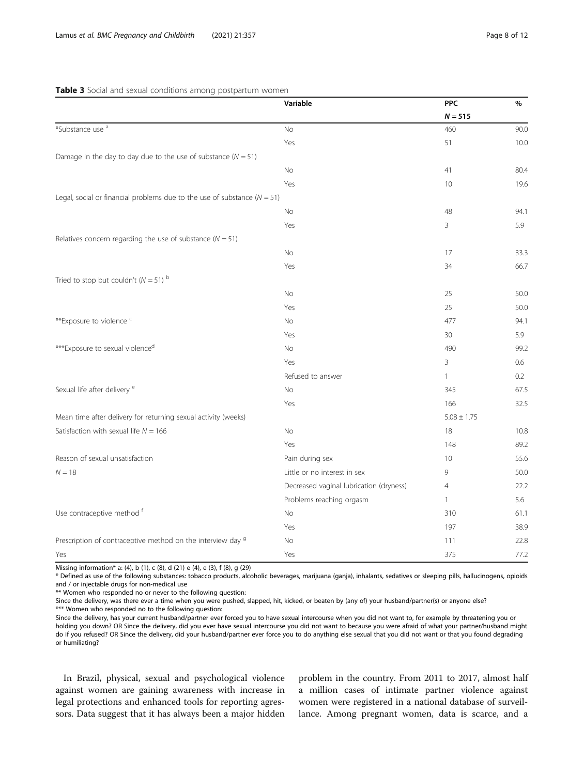<span id="page-7-0"></span>

|                                                                              | Variable                                | <b>PPC</b>      | $\%$ |
|------------------------------------------------------------------------------|-----------------------------------------|-----------------|------|
|                                                                              |                                         | $N = 515$       |      |
| *Substance use <sup>a</sup>                                                  | No                                      | 460             | 90.0 |
|                                                                              | Yes                                     | 51              | 10.0 |
| Damage in the day to day due to the use of substance ( $N = 51$ )            |                                         |                 |      |
|                                                                              | No                                      | 41              | 80.4 |
|                                                                              | Yes                                     | 10              | 19.6 |
| Legal, social or financial problems due to the use of substance ( $N = 51$ ) |                                         |                 |      |
|                                                                              | <b>No</b>                               | 48              | 94.1 |
|                                                                              | Yes                                     | 3               | 5.9  |
| Relatives concern regarding the use of substance ( $N = 51$ )                |                                         |                 |      |
|                                                                              | No                                      | 17              | 33.3 |
|                                                                              | Yes                                     | 34              | 66.7 |
| Tried to stop but couldn't $(N = 51)$ b                                      |                                         |                 |      |
|                                                                              | <b>No</b>                               | 25              | 50.0 |
|                                                                              | Yes                                     | 25              | 50.0 |
| **Exposure to violence <sup>c</sup>                                          | No                                      | 477             | 94.1 |
|                                                                              | Yes                                     | 30              | 5.9  |
| ***Exposure to sexual violence <sup>d</sup>                                  | No                                      | 490             | 99.2 |
|                                                                              | Yes                                     | 3               | 0.6  |
|                                                                              | Refused to answer                       | $\mathbf{1}$    | 0.2  |
| Sexual life after delivery <sup>e</sup>                                      | No                                      | 345             | 67.5 |
|                                                                              | Yes                                     | 166             | 32.5 |
| Mean time after delivery for returning sexual activity (weeks)               |                                         | $5.08 \pm 1.75$ |      |
| Satisfaction with sexual life $N = 166$                                      | No                                      | 18              | 10.8 |
|                                                                              | Yes                                     | 148             | 89.2 |
| Reason of sexual unsatisfaction                                              | Pain during sex                         | 10              | 55.6 |
| $N = 18$                                                                     | Little or no interest in sex            | 9               | 50.0 |
|                                                                              | Decreased vaginal lubrication (dryness) | $\overline{4}$  | 22.2 |
|                                                                              | Problems reaching orgasm                | 1               | 5.6  |
| Use contraceptive method f                                                   | No                                      | 310             | 61.1 |
|                                                                              | Yes                                     | 197             | 38.9 |
| Prescription of contraceptive method on the interview day 9                  | No                                      | 111             | 22.8 |
| Yes                                                                          | Yes                                     | 375             | 77.2 |

Missing information\* a: (4), b (1), c (8), d (21) e (4), e (3), f (8), g (29)

\* Defined as use of the following substances: tobacco products, alcoholic beverages, marijuana (ganja), inhalants, sedatives or sleeping pills, hallucinogens, opioids and / or injectable drugs for non-medical use

\*\* Women who responded no or never to the following question:

Since the delivery, was there ever a time when you were pushed, slapped, hit, kicked, or beaten by (any of) your husband/partner(s) or anyone else?

\*\*\* Women who responded no to the following question:

Since the delivery, has your current husband/partner ever forced you to have sexual intercourse when you did not want to, for example by threatening you or holding you down? OR Since the delivery, did you ever have sexual intercourse you did not want to because you were afraid of what your partner/husband might do if you refused? OR Since the delivery, did your husband/partner ever force you to do anything else sexual that you did not want or that you found degrading or humiliating?

In Brazil, physical, sexual and psychological violence against women are gaining awareness with increase in legal protections and enhanced tools for reporting agressors. Data suggest that it has always been a major hidden

problem in the country. From 2011 to 2017, almost half a million cases of intimate partner violence against women were registered in a national database of surveillance. Among pregnant women, data is scarce, and a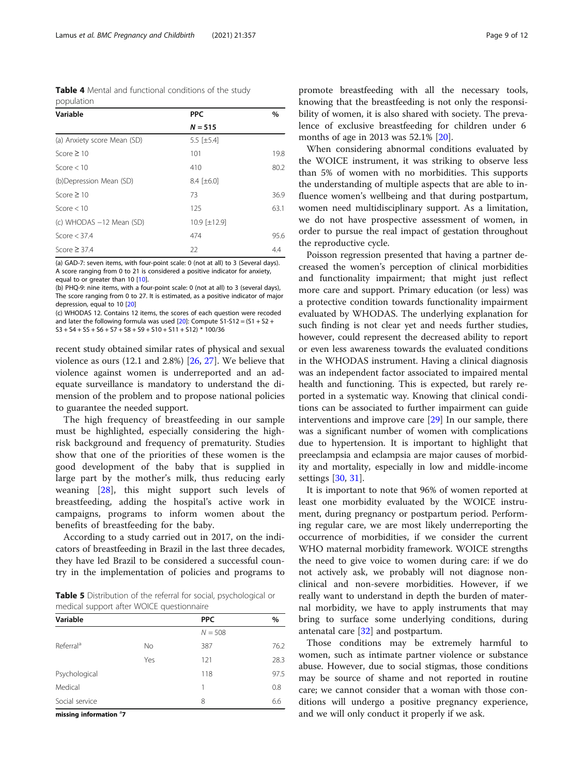<span id="page-8-0"></span>Table 4 Mental and functional conditions of the study population

| Variable                    | <b>PPC</b>          | $\%$ |  |
|-----------------------------|---------------------|------|--|
|                             | $N = 515$           |      |  |
| (a) Anxiety score Mean (SD) | 5.5 [ $\pm$ 5.4]    |      |  |
| Score $\geq 10$             | 101                 | 19.8 |  |
| Score $< 10$                | 410                 | 80.2 |  |
| (b)Depression Mean (SD)     | $8.4$ [ $\pm 6.0$ ] |      |  |
| Score $\geq 10$             | 73                  | 36.9 |  |
| Score $< 10$                | 125                 | 63.1 |  |
| (c) WHODAS -12 Mean (SD)    | 10.9 [±12.9]        |      |  |
| Score $<$ 37.4              | 474                 | 95.6 |  |
| Score $\geq$ 37.4           | 22                  | 4.4  |  |

(a) GAD-7: seven items, with four-point scale: 0 (not at all) to 3 (Several days). A score ranging from 0 to 21 is considered a positive indicator for anxiety, equal to or greater than 10 [\[10](#page-10-0)].

(b) PHQ-9: nine items, with a four-point scale: 0 (not at all) to 3 (several days), The score ranging from 0 to 27. It is estimated, as a positive indicator of major depression, equal to 10 [[20](#page-10-0)]

(c) WHODAS 12. Contains 12 items, the scores of each question were recoded and later the following formula was used  $[20]$ : Compute S1-S12 =  $(51 + 52 +$  $S3 + S4 + S5 + S6 + S7 + S8 + S9 + S10 + S11 + S12$  \* 100/36

recent study obtained similar rates of physical and sexual violence as ours (12.1 and 2.8%) [[26](#page-11-0), [27](#page-11-0)]. We believe that violence against women is underreported and an adequate surveillance is mandatory to understand the dimension of the problem and to propose national policies to guarantee the needed support.

The high frequency of breastfeeding in our sample must be highlighted, especially considering the highrisk background and frequency of prematurity. Studies show that one of the priorities of these women is the good development of the baby that is supplied in large part by the mother's milk, thus reducing early weaning [[28\]](#page-11-0), this might support such levels of breastfeeding, adding the hospital's active work in campaigns, programs to inform women about the benefits of breastfeeding for the baby.

According to a study carried out in 2017, on the indicators of breastfeeding in Brazil in the last three decades, they have led Brazil to be considered a successful country in the implementation of policies and programs to

**Table 5** Distribution of the referral for social, psychological or medical support after WOICE questionnaire

| Variable              |           | <b>PPC</b> | $\%$ |
|-----------------------|-----------|------------|------|
|                       |           | $N = 508$  |      |
| Referral <sup>a</sup> | <b>No</b> | 387        | 76.2 |
|                       | Yes       | 121        | 28.3 |
| Psychological         |           | 118        | 97.5 |
| Medical               |           | 1          | 0.8  |
| Social service        |           | 8          | 6.6  |

missing information <sup>a</sup>7

promote breastfeeding with all the necessary tools, knowing that the breastfeeding is not only the responsibility of women, it is also shared with society. The prevalence of exclusive breastfeeding for children under 6 months of age in 2013 was 52.1% [\[20](#page-10-0)].

When considering abnormal conditions evaluated by the WOICE instrument, it was striking to observe less than 5% of women with no morbidities. This supports the understanding of multiple aspects that are able to influence women's wellbeing and that during postpartum, women need multidisciplinary support. As a limitation, we do not have prospective assessment of women, in order to pursue the real impact of gestation throughout the reproductive cycle.

Poisson regression presented that having a partner decreased the women's perception of clinical morbidities and functionality impairment; that might just reflect more care and support. Primary education (or less) was a protective condition towards functionality impairment evaluated by WHODAS. The underlying explanation for such finding is not clear yet and needs further studies, however, could represent the decreased ability to report or even less awareness towards the evaluated conditions in the WHODAS instrument. Having a clinical diagnosis was an independent factor associated to impaired mental health and functioning. This is expected, but rarely reported in a systematic way. Knowing that clinical conditions can be associated to further impairment can guide interventions and improve care [\[29\]](#page-11-0) In our sample, there was a significant number of women with complications due to hypertension. It is important to highlight that preeclampsia and eclampsia are major causes of morbidity and mortality, especially in low and middle-income settings [[30,](#page-11-0) [31\]](#page-11-0).

It is important to note that 96% of women reported at least one morbidity evaluated by the WOICE instrument, during pregnancy or postpartum period. Performing regular care, we are most likely underreporting the occurrence of morbidities, if we consider the current WHO maternal morbidity framework. WOICE strengths the need to give voice to women during care: if we do not actively ask, we probably will not diagnose nonclinical and non-severe morbidities. However, if we really want to understand in depth the burden of maternal morbidity, we have to apply instruments that may bring to surface some underlying conditions, during antenatal care [[32\]](#page-11-0) and postpartum.

Those conditions may be extremely harmful to women, such as intimate partner violence or substance abuse. However, due to social stigmas, those conditions may be source of shame and not reported in routine care; we cannot consider that a woman with those conditions will undergo a positive pregnancy experience, and we will only conduct it properly if we ask.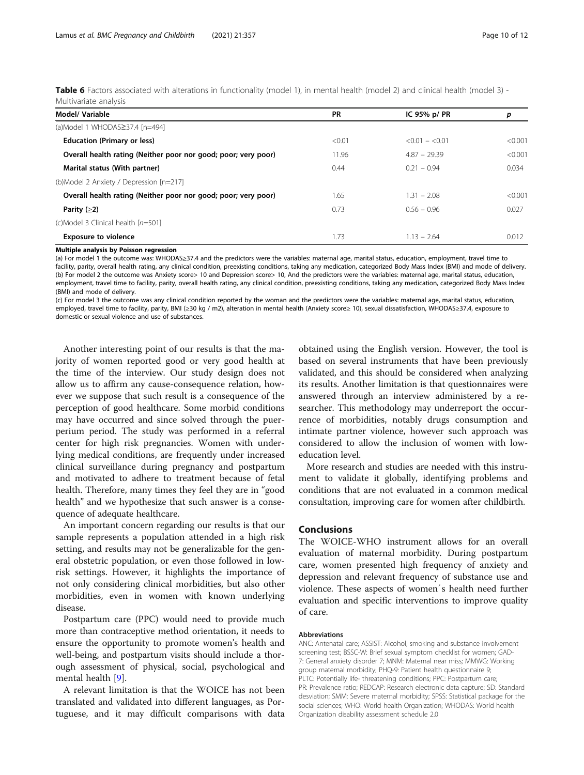<span id="page-9-0"></span>

| Table 6 Factors associated with alterations in functionality (model 1), in mental health (model 2) and clinical health (model 3) - |  |  |  |  |
|------------------------------------------------------------------------------------------------------------------------------------|--|--|--|--|
| Multivariate analysis                                                                                                              |  |  |  |  |

| Model/ Variable                                                | <b>PR</b> | IC 95% $p/PR$     | р       |
|----------------------------------------------------------------|-----------|-------------------|---------|
| (a)Model 1 WHODAS≥37.4 [n=494]                                 |           |                   |         |
| <b>Education (Primary or less)</b>                             | < 0.01    | $< 0.01 - < 0.01$ | < 0.001 |
| Overall health rating (Neither poor nor good; poor; very poor) | 11.96     | $4.87 - 29.39$    | < 0.001 |
| Marital status (With partner)                                  | 0.44      | $0.21 - 0.94$     | 0.034   |
| (b)Model 2 Anxiety / Depression [n=217]                        |           |                   |         |
| Overall health rating (Neither poor nor good; poor; very poor) | 1.65      | $1.31 - 2.08$     | < 0.001 |
| Parity $(≥2)$                                                  | 0.73      | $0.56 - 0.96$     | 0.027   |
| (c)Model 3 Clinical health [n=501]                             |           |                   |         |
| <b>Exposure to violence</b>                                    | 1.73      | $1.13 - 2.64$     | 0.012   |

#### Multiple analysis by Poisson regression

(a) For model 1 the outcome was: WHODAS≥37.4 and the predictors were the variables: maternal age, marital status, education, employment, travel time to facility, parity, overall health rating, any clinical condition, preexisting conditions, taking any medication, categorized Body Mass Index (BMI) and mode of delivery. (b) For model 2 the outcome was Anxiety score> 10 and Depression score> 10, And the predictors were the variables: maternal age, marital status, education, employment, travel time to facility, parity, overall health rating, any clinical condition, preexisting conditions, taking any medication, categorized Body Mass Index (BMI) and mode of delivery.

(c) For model 3 the outcome was any clinical condition reported by the woman and the predictors were the variables: maternal age, marital status, education, employed, travel time to facility, parity, BMI (≥30 kg / m2), alteration in mental health (Anxiety score≥ 10), sexual dissatisfaction, WHODAS≥37.4, exposure to domestic or sexual violence and use of substances.

Another interesting point of our results is that the majority of women reported good or very good health at the time of the interview. Our study design does not allow us to affirm any cause-consequence relation, however we suppose that such result is a consequence of the perception of good healthcare. Some morbid conditions may have occurred and since solved through the puerperium period. The study was performed in a referral center for high risk pregnancies. Women with underlying medical conditions, are frequently under increased clinical surveillance during pregnancy and postpartum and motivated to adhere to treatment because of fetal health. Therefore, many times they feel they are in "good health" and we hypothesize that such answer is a consequence of adequate healthcare.

An important concern regarding our results is that our sample represents a population attended in a high risk setting, and results may not be generalizable for the general obstetric population, or even those followed in lowrisk settings. However, it highlights the importance of not only considering clinical morbidities, but also other morbidities, even in women with known underlying disease.

Postpartum care (PPC) would need to provide much more than contraceptive method orientation, it needs to ensure the opportunity to promote women's health and well-being, and postpartum visits should include a thorough assessment of physical, social, psychological and mental health [[9\]](#page-10-0).

A relevant limitation is that the WOICE has not been translated and validated into different languages, as Portuguese, and it may difficult comparisons with data obtained using the English version. However, the tool is based on several instruments that have been previously validated, and this should be considered when analyzing its results. Another limitation is that questionnaires were answered through an interview administered by a researcher. This methodology may underreport the occurrence of morbidities, notably drugs consumption and intimate partner violence, however such approach was considered to allow the inclusion of women with loweducation level.

More research and studies are needed with this instrument to validate it globally, identifying problems and conditions that are not evaluated in a common medical consultation, improving care for women after childbirth.

## Conclusions

The WOICE-WHO instrument allows for an overall evaluation of maternal morbidity. During postpartum care, women presented high frequency of anxiety and depression and relevant frequency of substance use and violence. These aspects of womeńs health need further evaluation and specific interventions to improve quality of care.

#### Abbreviations

ANC: Antenatal care; ASSIST: Alcohol, smoking and substance involvement screening test; BSSC-W: Brief sexual symptom checklist for women; GAD-7: General anxiety disorder 7; MNM: Maternal near miss; MMWG: Working group maternal morbidity; PHQ-9: Patient health questionnaire 9; PLTC: Potentially life- threatening conditions; PPC: Postpartum care; PR: Prevalence ratio; REDCAP: Research electronic data capture; SD: Standard desviation; SMM: Severe maternal morbidity; SPSS: Statistical package for the social sciences; WHO: World health Organization; WHODAS: World health Organization disability assessment schedule 2.0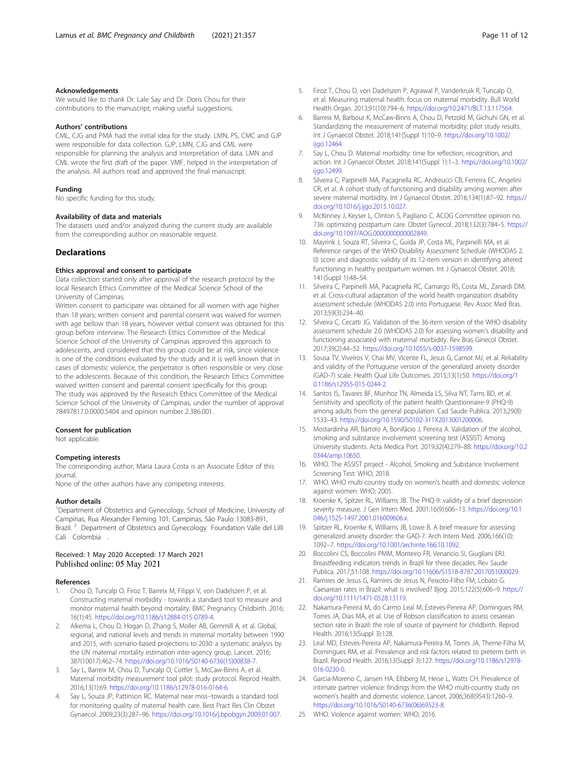#### <span id="page-10-0"></span>Acknowledgements

We would like to thank Dr. Lale Say and Dr. Doris Chou for their contributions to the manuscript, making useful suggestions.

#### Authors' contributions

CML, CJG and PMA had the initial idea for the study. LMN, PS, CMC and GJP were responsible for data collection. GJP, LMN, CJG and CML were responsible for planning the analysis and interpretation of data. LMN and CML wrote the first draft of the paper. VMF, helped in the interpretation of the analysis. All authors read and approved the final manuscript.

#### Funding

No specific funding for this study.

#### Availability of data and materials

The datasets used and/or analyzed during the current study are available from the corresponding author on reasonable request.

#### **Declarations**

#### Ethics approval and consent to participate

Data collection started only after approval of the research protocol by the local Research Ethics Committee of the Medical Science School of the University of Campinas.

Written consent to participate was obtained for all women with age higher than 18 years; written consent and parental consent was waived for women with age bellow than 18 years, however verbal consent was obtained for this group before interview. The Research Ethics Committee of the Medical Science School of the University of Campinas approved this approach to adolescents, and considered that this group could be at risk, since violence is one of the conditions evaluated by the study and it is well known that in cases of domestic violence, the perpetrator is often responsible or very close to the adolescents. Because of this condition, the Research Ethics Committee waived written consent and parental consent specifically for this group. The study was approved by the Research Ethics Committee of the Medical Science School of the University of Campinas, under the number of approval 78497817.0.0000.5404 and opinion number 2.386.001.

#### Consent for publication

Not applicable.

#### Competing interests

The corresponding author, Maria Laura Costa is an Associate Editor of this journal.

None of the other authors have any competing interests.

### Author details

<sup>1</sup>Department of Obstetrics and Gynecology, School of Medicine, University of Campinas, Rua Alexander Fleming 101, Campinas, São Paulo 13083-891, Brazil.<sup>2</sup> Department of Obstetrics and Gynecology Foundation Valle del Lilli Cali Colombia

## Received: 1 May 2020 Accepted: 17 March 2021 Published online: 05 May 2021

#### References

- 1. Chou D, Tuncalp O, Firoz T, Barreix M, Filippi V, von Dadelszen P, et al. Constructing maternal morbidity - towards a standard tool to measure and monitor maternal health beyond mortality. BMC Pregnancy Childbirth. 2016; 16(1):45. <https://doi.org/10.1186/s12884-015-0789-4>.
- 2. Alkema L, Chou D, Hogan D, Zhang S, Moller AB, Gemmill A, et al. Global, regional, and national levels and trends in maternal mortality between 1990 and 2015, with scenario-based projections to 2030: a systematic analysis by the UN maternal mortality estimation inter-agency group. Lancet. 2016; 387(10017):462–74. [https://doi.org/10.1016/S0140-6736\(15\)00838-7.](https://doi.org/10.1016/S0140-6736(15)00838-7)
- Say L, Barreix M, Chou D, Tuncalp O, Cottler S, McCaw-Binns A, et al. Maternal morbidity measurement tool pilot: study protocol. Reprod Health. 2016;13(1):69. <https://doi.org/10.1186/s12978-016-0164-6>.
- 4. Say L, Souza JP, Pattinson RC. Maternal near miss--towards a standard tool for monitoring quality of maternal health care. Best Pract Res Clin Obstet Gynaecol. 2009;23(3):287–96. <https://doi.org/10.1016/j.bpobgyn.2009.01.007>.
- 5. Firoz T, Chou D, von Dadelszen P, Agrawal P, Vanderkruik R, Tuncalp O, et al. Measuring maternal health: focus on maternal morbidity. Bull World Health Organ. 2013;91(10):794–6. <https://doi.org/10.2471/BLT.13.117564>.
- Barreix M, Barbour K, McCaw-Binns A, Chou D, Petzold M, Gichuhi GN, et al. Standardizing the measurement of maternal morbidity: pilot study results. Int J Gynaecol Obstet. 2018;141(Suppl 1):10–9. [https://doi.org/10.1002/](https://doi.org/10.1002/ijgo.12464) [ijgo.12464.](https://doi.org/10.1002/ijgo.12464)
- 7. Say L, Chou D. Maternal morbidity: time for reflection, recognition, and action. Int J Gynaecol Obstet. 2018;141(Suppl 1):1–3. [https://doi.org/10.1002/](https://doi.org/10.1002/ijgo.12499) ijgo.12499
- Silveira C, Parpinelli MA, Pacagnella RC, Andreucci CB, Ferreira EC, Angelini CR, et al. A cohort study of functioning and disability among women after severe maternal morbidity. Int J Gynaecol Obstet. 2016;134(1):87–92. [https://](https://doi.org/10.1016/j.ijgo.2015.10.027) [doi.org/10.1016/j.ijgo.2015.10.027.](https://doi.org/10.1016/j.ijgo.2015.10.027)
- 9. McKinney J, Keyser L, Clinton S, Pagliano C. ACOG Committee opinion no. 736: optimizing postpartum care. Obstet Gynecol. 2018;132(3):784–5. [https://](https://doi.org/10.1097/AOG.0000000000002849) [doi.org/10.1097/AOG.0000000000002849](https://doi.org/10.1097/AOG.0000000000002849).
- 10. Mayrink J, Souza RT, Silveira C, Guida JP, Costa ML, Parpinelli MA, et al. Reference ranges of the WHO Disability Assessment Schedule (WHODAS 2. 0) score and diagnostic validity of its 12-item version in identifying altered functioning in healthy postpartum women. Int J Gynaecol Obstet. 2018; 141(Suppl 1):48–54.
- 11. Silveira C, Parpinelli MA, Pacagnella RC, Camargo RS, Costa ML, Zanardi DM, et al. Cross-cultural adaptation of the world health organization disability assessment schedule (WHODAS 2.0) into Portuguese. Rev Assoc Med Bras. 2013;59(3):234–40.
- 12. Silveira C, Cecatti JG. Validation of the 36-item version of the WHO disability assessment schedule 2.0 (WHODAS 2.0) for assessing women's disability and functioning associated with maternal morbidity. Rev Bras Ginecol Obstet. 2017;39(2):44–52. [https://doi.org/10.1055/s-0037-1598599.](https://doi.org/10.1055/s-0037-1598599)
- 13. Sousa TV, Viveiros V, Chai MV, Vicente FL, Jesus G, Carnot MJ, et al. Reliability and validity of the Portuguese version of the generalized anxiety disorder (GAD-7) scale. Health Qual Life Outcomes. 2015;13(1):50. [https://doi.org/1](https://doi.org/10.1186/s12955-015-0244-2) [0.1186/s12955-015-0244-2.](https://doi.org/10.1186/s12955-015-0244-2)
- 14. Santos IS, Tavares BF, Munhoz TN, Almeida LS, Silva NT, Tams BD, et al. Sensitivity and specificity of the patient health Questionnaire-9 (PHQ-9) among adults from the general population. Cad Saude Publica. 2013;29(8): 1533–43. [https://doi.org/10.1590/S0102-311X2013001200006.](https://doi.org/10.1590/S0102-311X2013001200006)
- 15. Mostardinha AR, Bártolo A, Bonifácio J, Pereira A. Validation of the alcohol, smoking and substance involvement screening test (ASSIST) Among University students. Acta Medica Port. 2019;32(4):279–88. [https://doi.org/10.2](https://doi.org/10.20344/amp.10650) [0344/amp.10650.](https://doi.org/10.20344/amp.10650)
- 16. WHO. The ASSIST project Alcohol, Smoking and Substance Involvement Screening Test: WHO; 2018.
- 17. WHO. WHO multi-country study on women's health and domestic violence against women: WHO; 2005.
- 18. Kroenke K, Spitzer RL, Williams JB. The PHQ-9: validity of a brief depression severity measure. J Gen Intern Med. 2001;16(9):606–13. [https://doi.org/10.1](https://doi.org/10.1046/j.1525-1497.2001.016009606.x) [046/j.1525-1497.2001.016009606.x](https://doi.org/10.1046/j.1525-1497.2001.016009606.x).
- 19. Spitzer RL, Kroenke K, Williams JB, Lowe B. A brief measure for assessing generalized anxiety disorder: the GAD-7. Arch Intern Med. 2006;166(10): 1092–7. <https://doi.org/10.1001/archinte.166.10.1092>.
- 20. Boccolini CS, Boccolini PMM, Monteiro FR, Venancio SI, Giugliani ERJ. Breastfeeding indicators trends in Brazil for three decades. Rev Saude Publica. 2017;51:108. [https://doi.org/10.11606/S1518-8787.2017051000029.](https://doi.org/10.11606/S1518-8787.2017051000029)
- 21. Ramires de Jesus G, Ramires de Jesus N, Peixoto-Filho FM, Lobato G. Caesarean rates in Brazil: what is involved? Bjog. 2015;122(5):606–9. [https://](https://doi.org/10.1111/1471-0528.13119) [doi.org/10.1111/1471-0528.13119.](https://doi.org/10.1111/1471-0528.13119)
- 22. Nakamura-Pereira M, do Carmo Leal M, Esteves-Pereira AP, Domingues RM, Torres JA, Dias MA, et al. Use of Robson classification to assess cesarean section rate in Brazil: the role of source of payment for childbirth. Reprod Health. 2016;13(Suppl 3):128.
- 23. Leal MD, Esteves-Pereira AP, Nakamura-Pereira M, Torres JA, Theme-Filha M, Domingues RM, et al. Prevalence and risk factors related to preterm birth in Brazil. Reprod Health. 2016;13(Suppl 3):127. [https://doi.org/10.1186/s12978-](https://doi.org/10.1186/s12978-016-0230-0) [016-0230-0](https://doi.org/10.1186/s12978-016-0230-0).
- 24. Garcia-Moreno C, Jansen HA, Ellsberg M, Heise L, Watts CH. Prevalence of intimate partner violence: findings from the WHO multi-country study on women's health and domestic violence. Lancet. 2006;368(9543):1260–9. [https://doi.org/10.1016/S0140-6736\(06\)69523-8.](https://doi.org/10.1016/S0140-6736(06)69523-8)
- 25. WHO. Violence against women: WHO; 2016.